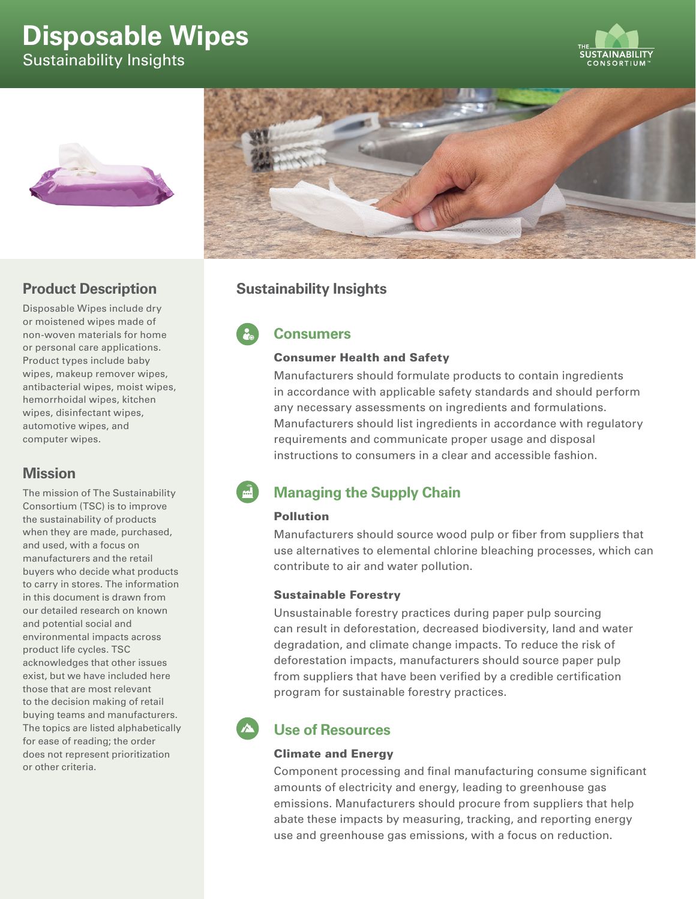# **Disposable Wipes**

Sustainability Insights







## **Product Description**

Disposable Wipes include dry or moistened wipes made of non-woven materials for home or personal care applications. Product types include baby wipes, makeup remover wipes, antibacterial wipes, moist wipes, hemorrhoidal wipes, kitchen wipes, disinfectant wipes, automotive wipes, and computer wipes.

## **Mission**

The mission of The Sustainability Consortium (TSC) is to improve the sustainability of products when they are made, purchased, and used, with a focus on manufacturers and the retail buyers who decide what products to carry in stores. The information in this document is drawn from our detailed research on known and potential social and environmental impacts across product life cycles. TSC acknowledges that other issues exist, but we have included here those that are most relevant to the decision making of retail buying teams and manufacturers. The topics are listed alphabetically for ease of reading; the order does not represent prioritization or other criteria.

## **Sustainability Insights**

**Consumers**

#### Consumer Health and Safety

Manufacturers should formulate products to contain ingredients in accordance with applicable safety standards and should perform any necessary assessments on ingredients and formulations. Manufacturers should list ingredients in accordance with regulatory requirements and communicate proper usage and disposal instructions to consumers in a clear and accessible fashion.

# **Managing the Supply Chain**

#### Pollution

Manufacturers should source wood pulp or fiber from suppliers that use alternatives to elemental chlorine bleaching processes, which can contribute to air and water pollution.

#### Sustainable Forestry

Unsustainable forestry practices during paper pulp sourcing can result in deforestation, decreased biodiversity, land and water degradation, and climate change impacts. To reduce the risk of deforestation impacts, manufacturers should source paper pulp from suppliers that have been verified by a credible certification program for sustainable forestry practices.

# **Use of Resources**

#### Climate and Energy

Component processing and final manufacturing consume significant amounts of electricity and energy, leading to greenhouse gas emissions. Manufacturers should procure from suppliers that help abate these impacts by measuring, tracking, and reporting energy use and greenhouse gas emissions, with a focus on reduction.